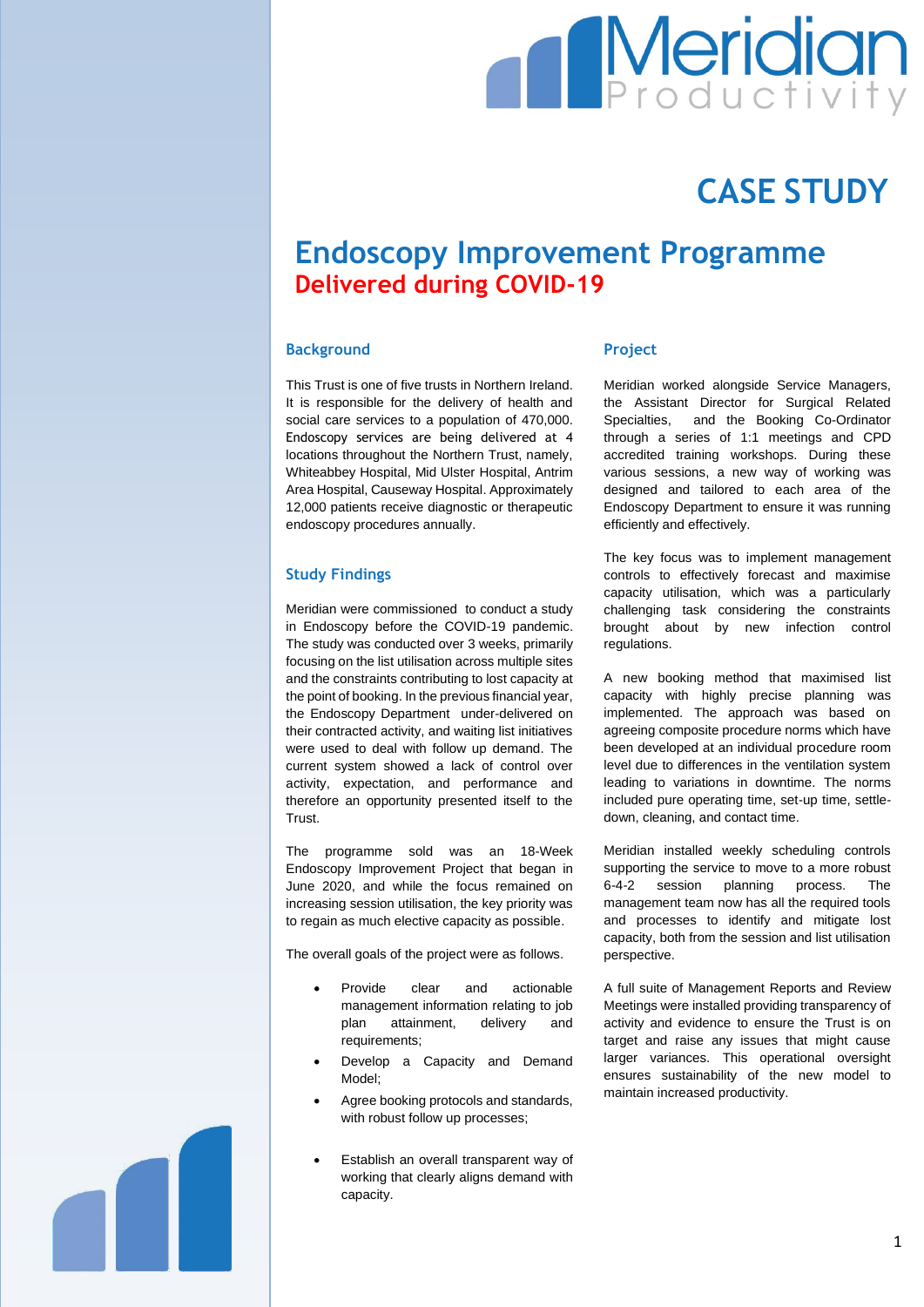# **Meridian**

## **CASE STUDY**

### **Endoscopy Improvement Programme Delivered during COVID-19**

#### **Background**

This Trust is one of five trusts in Northern Ireland. It is responsible for the delivery of health and social care services to a population of 470,000. Endoscopy services are being delivered at 4 locations throughout the Northern Trust, namely, Whiteabbey Hospital, Mid Ulster Hospital, Antrim Area Hospital, Causeway Hospital. Approximately 12,000 patients receive diagnostic or therapeutic endoscopy procedures annually.

#### **Study Findings**

Meridian were commissioned to conduct a study in Endoscopy before the COVID-19 pandemic. The study was conducted over 3 weeks, primarily focusing on the list utilisation across multiple sites and the constraints contributing to lost capacity at the point of booking. In the previous financial year, the Endoscopy Department under-delivered on their contracted activity, and waiting list initiatives were used to deal with follow up demand. The current system showed a lack of control over activity, expectation, and performance and therefore an opportunity presented itself to the Trust.

The programme sold was an 18-Week Endoscopy Improvement Project that began in June 2020, and while the focus remained on increasing session utilisation, the key priority was to regain as much elective capacity as possible.

The overall goals of the project were as follows.

- Provide clear and actionable management information relating to job plan attainment, delivery and requirements;
- Develop a Capacity and Demand Model;
- Agree booking protocols and standards, with robust follow up processes;
- Establish an overall transparent way of working that clearly aligns demand with capacity.

#### **Project**

Meridian worked alongside Service Managers, the Assistant Director for Surgical Related Specialties, and the Booking Co-Ordinator through a series of 1:1 meetings and CPD accredited training workshops. During these various sessions, a new way of working was designed and tailored to each area of the Endoscopy Department to ensure it was running efficiently and effectively.

The key focus was to implement management controls to effectively forecast and maximise capacity utilisation, which was a particularly challenging task considering the constraints brought about by new infection control regulations.

A new booking method that maximised list capacity with highly precise planning was implemented. The approach was based on agreeing composite procedure norms which have been developed at an individual procedure room level due to differences in the ventilation system leading to variations in downtime. The norms included pure operating time, set-up time, settledown, cleaning, and contact time.

Meridian installed weekly scheduling controls supporting the service to move to a more robust 6-4-2 session planning process. The management team now has all the required tools and processes to identify and mitigate lost capacity, both from the session and list utilisation perspective.

A full suite of Management Reports and Review Meetings were installed providing transparency of activity and evidence to ensure the Trust is on target and raise any issues that might cause larger variances. This operational oversight ensures sustainability of the new model to maintain increased productivity.

1